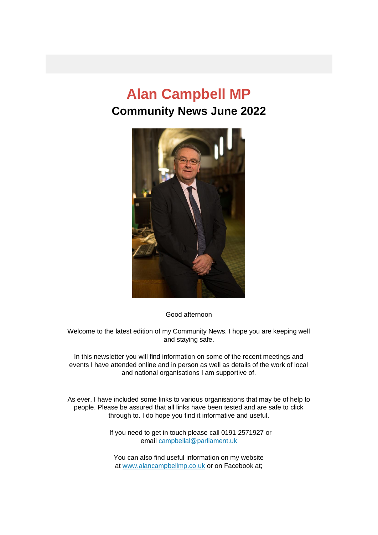# **Alan Campbell MP Community News June 2022**



Good afternoon

Welcome to the latest edition of my Community News. I hope you are keeping well and staying safe.

In this newsletter you will find information on some of the recent meetings and events I have attended online and in person as well as details of the work of local and national organisations I am supportive of.

As ever, I have included some links to various organisations that may be of help to people. Please be assured that all links have been tested and are safe to click through to. I do hope you find it informative and useful.

> If you need to get in touch please call 0191 2571927 or email [campbellal@parliament.uk](mailto:campbellal@parliament.uk)

You can also find useful information on my website at [www.alancampbellmp.co.uk](http://www.alancampbellmp.co.uk/) or on Facebook at;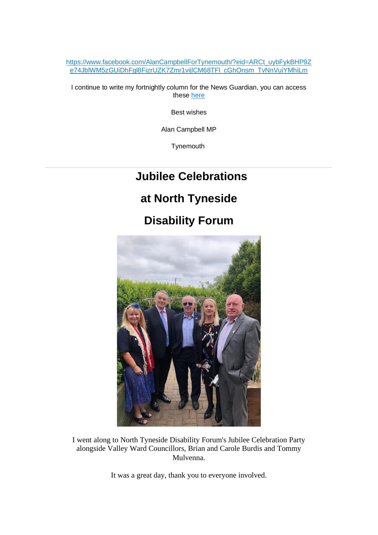[https://www.facebook.com/AlanCampbellForTynemouth/?eid=ARCt\\_uybFykBHP9Z](https://www.facebook.com/AlanCampbellForTynemouth/?eid=ARCt_uybFykBHP9Ze74JblWM5zGUiDhFgl8FizrUZK7Zmr1vijlCM68TFl_cGhOnsm_TvNnVuiYMhiLm) [e74JblWM5zGUiDhFgl8FizrUZK7Zmr1vijlCM68TFl\\_cGhOnsm\\_TvNnVuiYMhiLm](https://www.facebook.com/AlanCampbellForTynemouth/?eid=ARCt_uybFykBHP9Ze74JblWM5zGUiDhFgl8FizrUZK7Zmr1vijlCM68TFl_cGhOnsm_TvNnVuiYMhiLm)

I continue to write my fortnightly column for the News Guardian, you can access these [here](https://www.alancampbellmp.co.uk/category/articles/)

Best wishes

Alan Campbell MP

**Tynemouth** 

#### **Jubilee Celebrations**

#### **at North Tyneside**

#### **Disability Forum**



I went along to North Tyneside Disability Forum's Jubilee Celebration Party alongside Valley Ward Councillors, Brian and Carole Burdis and Tommy Mulvenna.

It was a great day, thank you to everyone involved.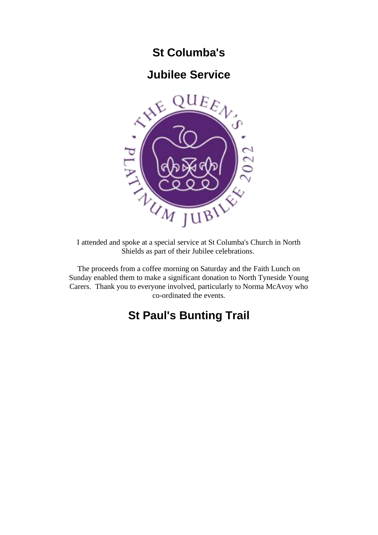#### **St Columba's**

#### **Jubilee Service**



I attended and spoke at a special service at St Columba's Church in North Shields as part of their Jubilee celebrations.

The proceeds from a coffee morning on Saturday and the Faith Lunch on Sunday enabled them to make a significant donation to North Tyneside Young Carers. Thank you to everyone involved, particularly to Norma McAvoy who co-ordinated the events.

## **St Paul's Bunting Trail**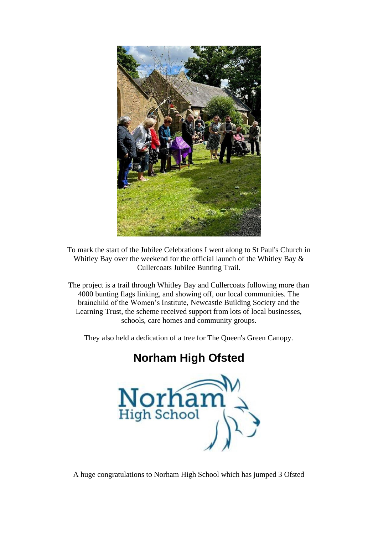

To mark the start of the Jubilee Celebrations I went along to St Paul's Church in Whitley Bay over the weekend for the official launch of the Whitley Bay & Cullercoats Jubilee Bunting Trail.

The project is a trail through Whitley Bay and Cullercoats following more than 4000 bunting flags linking, and showing off, our local communities. The brainchild of the Women's Institute, Newcastle Building Society and the Learning Trust, the scheme received support from lots of local businesses, schools, care homes and community groups.

They also held a dedication of a tree for The Queen's Green Canopy.

# **Norham High Ofsted**



A huge congratulations to Norham High School which has jumped 3 Ofsted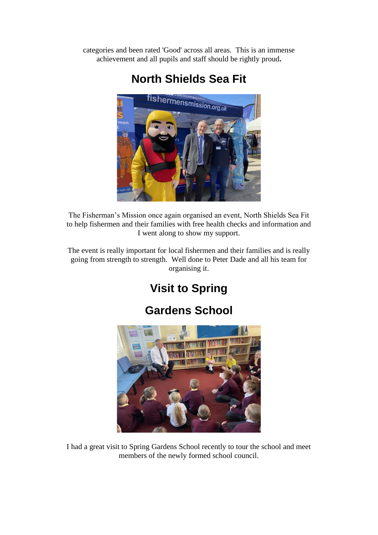categories and been rated 'Good' across all areas. This is an immense achievement and all pupils and staff should be rightly proud**.**



## **North Shields Sea Fit**

The Fisherman's Mission once again organised an event, North Shields Sea Fit to help fishermen and their families with free health checks and information and I went along to show my support.

The event is really important for local fishermen and their families and is really going from strength to strength. Well done to Peter Dade and all his team for organising it.

# **Visit to Spring**

# **Gardens School**



I had a great visit to Spring Gardens School recently to tour the school and meet members of the newly formed school council.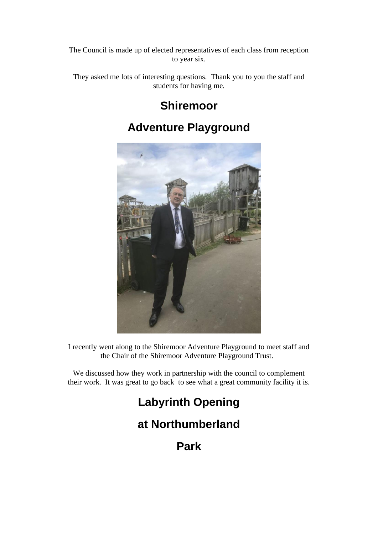The Council is made up of elected representatives of each class from reception to year six.

They asked me lots of interesting questions. Thank you to you the staff and students for having me.

## **Shiremoor**

# **Adventure Playground**



I recently went along to the Shiremoor Adventure Playground to meet staff and the Chair of the Shiremoor Adventure Playground Trust.

We discussed how they work in partnership with the council to complement their work. It was great to go back to see what a great community facility it is.

# **Labyrinth Opening**

## **at Northumberland**

**Park**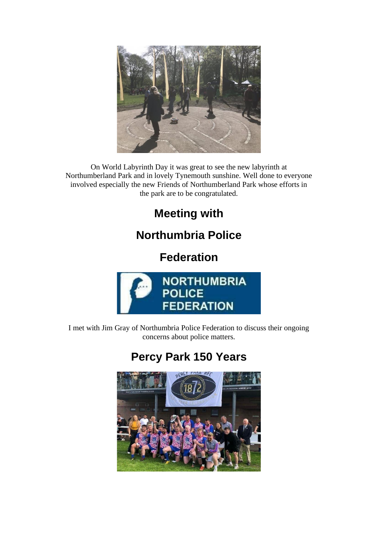

On World Labyrinth Day it was great to see the new labyrinth at Northumberland Park and in lovely Tynemouth sunshine. Well done to everyone involved especially the new Friends of Northumberland Park whose efforts in the park are to be congratulated.

# **Meeting with**

# **Northumbria Police**

**Federation**



I met with Jim Gray of Northumbria Police Federation to discuss their ongoing concerns about police matters.

# **Percy Park 150 Years**

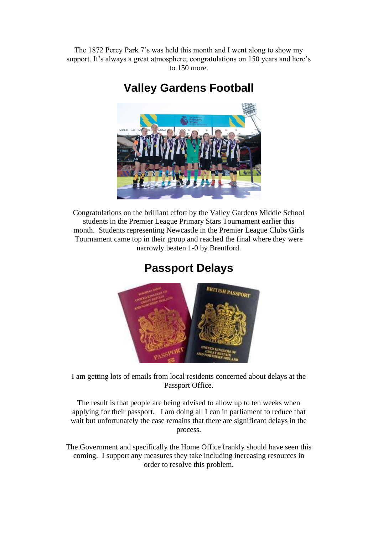The 1872 Percy Park 7's was held this month and I went along to show my support. It's always a great atmosphere, congratulations on 150 years and here's to 150 more.

**Valley Gardens Football**



Congratulations on the brilliant effort by the Valley Gardens Middle School students in the Premier League Primary Stars Tournament earlier this month. Students representing Newcastle in the Premier League Clubs Girls Tournament came top in their group and reached the final where they were narrowly beaten 1-0 by Brentford.

# **Passport Delays**



I am getting lots of emails from local residents concerned about delays at the Passport Office.

The result is that people are being advised to allow up to ten weeks when applying for their passport. I am doing all I can in parliament to reduce that wait but unfortunately the case remains that there are significant delays in the process.

The Government and specifically the Home Office frankly should have seen this coming. I support any measures they take including increasing resources in order to resolve this problem.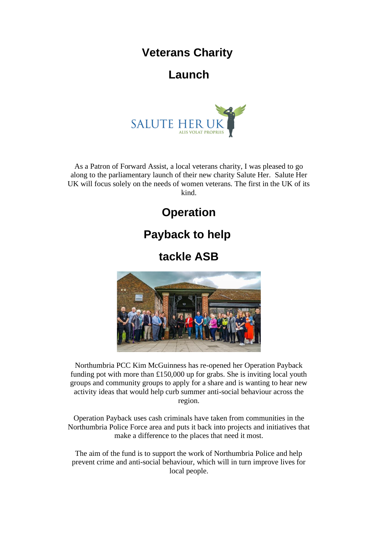#### **Veterans Charity**

#### **Launch**



As a Patron of Forward Assist, a local veterans charity, I was pleased to go along to the parliamentary launch of their new charity Salute Her. Salute Her UK will focus solely on the needs of women veterans. The first in the UK of its kind.

# **Operation**

#### **Payback to help**

**tackle ASB**



Northumbria PCC Kim McGuinness has re-opened her Operation Payback funding pot with more than £150,000 up for grabs. She is inviting local youth groups and community groups to apply for a share and is wanting to hear new activity ideas that would help curb summer anti-social behaviour across the region.

Operation Payback uses cash criminals have taken from communities in the Northumbria Police Force area and puts it back into projects and initiatives that make a difference to the places that need it most.

The aim of the fund is to support the work of Northumbria Police and help prevent crime and anti-social behaviour, which will in turn improve lives for local people.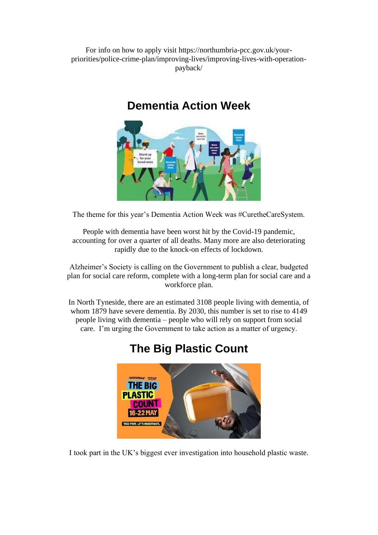For info on how to apply visit https://northumbria-pcc.gov.uk/yourpriorities/police-crime-plan/improving-lives/improving-lives-with-operationpayback/

# **Dementia Action Week**



The theme for this year's Dementia Action Week was #CuretheCareSystem.

People with dementia have been worst hit by the Covid-19 pandemic, accounting for over a quarter of all deaths. Many more are also deteriorating rapidly due to the knock-on effects of lockdown.

Alzheimer's Society is calling on the Government to publish a clear, budgeted plan for social care reform, complete with a long-term plan for social care and a workforce plan.

In North Tyneside, there are an estimated 3108 people living with dementia, of whom 1879 have severe dementia. By 2030, this number is set to rise to 4149 people living with dementia – people who will rely on support from social care. I'm urging the Government to take action as a matter of urgency.



#### **The Big Plastic Count**

I took part in the UK's biggest ever investigation into household plastic waste.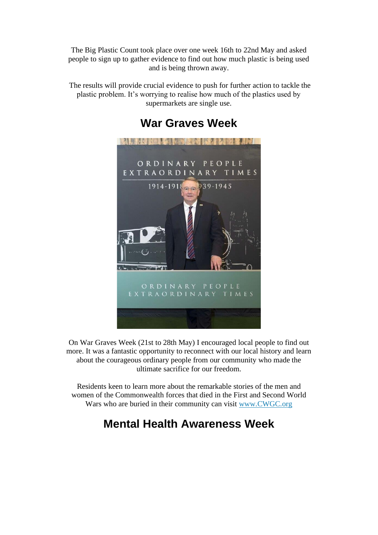The Big Plastic Count took place over one week 16th to 22nd May and asked people to sign up to gather evidence to find out how much plastic is being used and is being thrown away.

The results will provide crucial evidence to push for further action to tackle the plastic problem. It's worrying to realise how much of the plastics used by supermarkets are single use.



#### **War Graves Week**

On War Graves Week (21st to 28th May) I encouraged local people to find out more. It was a fantastic opportunity to reconnect with our local history and learn about the courageous ordinary people from our community who made the ultimate sacrifice for our freedom.

Residents keen to learn more about the remarkable stories of the men and women of the Commonwealth forces that died in the First and Second World Wars who are buried in their community can visit [www.CWGC.org](http://www.cwgc.org/)

# **Mental Health Awareness Week**